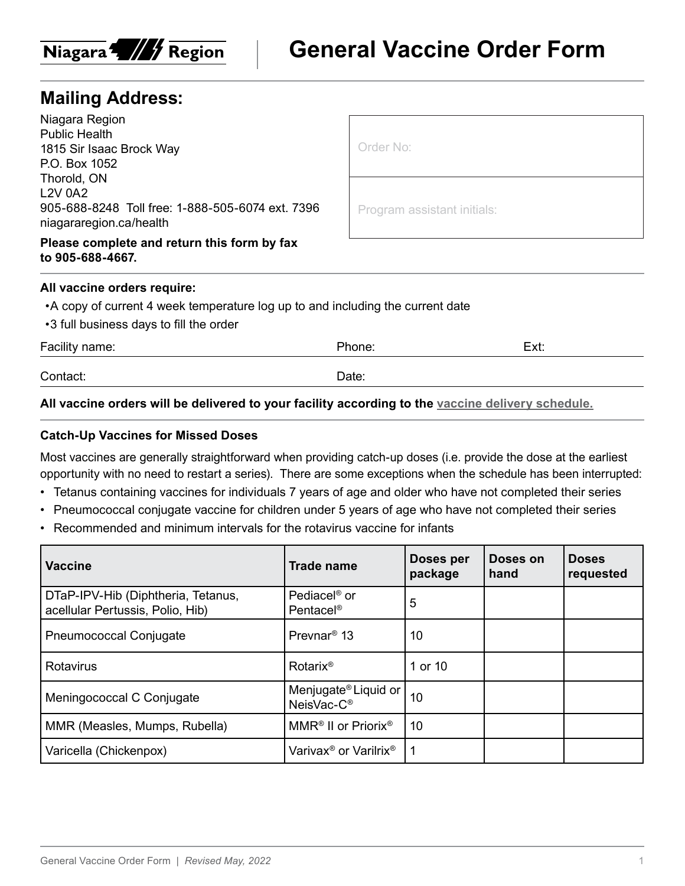

# **Mailing Address:**

Niagara Region Public Health 1815 Sir Isaac Brock Way P.O. Box 1052 Thorold, ON L2V 0A2 905-688-8248 Toll free: 1-888-505-6074 ext. 7396 niagararegion.ca/health

**Please complete and return this form by fax to 905-688-4667.**

| e v |  |  |  |
|-----|--|--|--|

Program assistant initials:

#### **All vaccine orders require:**

- •A copy of current 4 week temperature log up to and including the current date
- •3 full business days to fill the order

| Facility name: | Phone: | Ext: |
|----------------|--------|------|
| Contact:       | Date:  |      |
|                |        |      |

### **All vaccine orders will be delivered to your facility according to the [vaccine delivery schedule.](https://www.niagararegion.ca/health/professionals/vaccine/vaccine-schedule.aspx)**

### **Catch-Up Vaccines for Missed Doses**

Most vaccines are generally straightforward when providing catch-up doses (i.e. provide the dose at the earliest opportunity with no need to restart a series). There are some exceptions when the schedule has been interrupted:

- Tetanus containing vaccines for individuals 7 years of age and older who have not completed their series
- Pneumococcal conjugate vaccine for children under 5 years of age who have not completed their series
- Recommended and minimum intervals for the rotavirus vaccine for infants

| <b>Vaccine</b>                                                         | <b>Trade name</b>                                          | Doses per<br>package | Doses on<br>hand | <b>Doses</b><br>requested |
|------------------------------------------------------------------------|------------------------------------------------------------|----------------------|------------------|---------------------------|
| DTaP-IPV-Hib (Diphtheria, Tetanus,<br>acellular Pertussis, Polio, Hib) | Pediacel <sup>®</sup> or<br>Pentacel <sup>®</sup>          | 5                    |                  |                           |
| <b>Pneumococcal Conjugate</b>                                          | Prevnar <sup>®</sup> 13                                    | 10                   |                  |                           |
| <b>Rotavirus</b>                                                       | Rotarix <sup>®</sup>                                       | 1 or 10              |                  |                           |
| Meningococcal C Conjugate                                              | Menjugate <sup>®</sup> Liquid or<br>NeisVac-C <sup>®</sup> | 10                   |                  |                           |
| MMR (Measles, Mumps, Rubella)                                          | MMR <sup>®</sup> II or Priorix <sup>®</sup>                | 10                   |                  |                           |
| Varicella (Chickenpox)                                                 | Varivax <sup>®</sup> or Varilrix <sup>®</sup>              |                      |                  |                           |